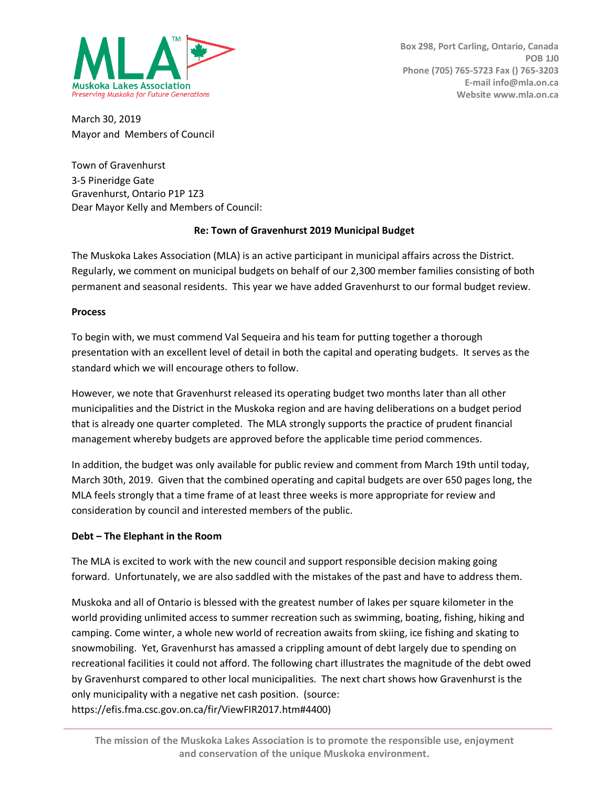

March 30, 2019 Mayor and Members of Council

Town of Gravenhurst 3-5 Pineridge Gate Gravenhurst, Ontario P1P 1Z3 Dear Mayor Kelly and Members of Council:

### **Re: Town of Gravenhurst 2019 Municipal Budget**

The Muskoka Lakes Association (MLA) is an active participant in municipal affairs across the District. Regularly, we comment on municipal budgets on behalf of our 2,300 member families consisting of both permanent and seasonal residents. This year we have added Gravenhurst to our formal budget review.

#### **Process**

To begin with, we must commend Val Sequeira and his team for putting together a thorough presentation with an excellent level of detail in both the capital and operating budgets. It serves as the standard which we will encourage others to follow.

However, we note that Gravenhurst released its operating budget two months later than all other municipalities and the District in the Muskoka region and are having deliberations on a budget period that is already one quarter completed. The MLA strongly supports the practice of prudent financial management whereby budgets are approved before the applicable time period commences.

In addition, the budget was only available for public review and comment from March 19th until today, March 30th, 2019. Given that the combined operating and capital budgets are over 650 pages long, the MLA feels strongly that a time frame of at least three weeks is more appropriate for review and consideration by council and interested members of the public.

### **Debt – The Elephant in the Room**

The MLA is excited to work with the new council and support responsible decision making going forward. Unfortunately, we are also saddled with the mistakes of the past and have to address them.

Muskoka and all of Ontario is blessed with the greatest number of lakes per square kilometer in the world providing unlimited access to summer recreation such as swimming, boating, fishing, hiking and camping. Come winter, a whole new world of recreation awaits from skiing, ice fishing and skating to snowmobiling. Yet, Gravenhurst has amassed a crippling amount of debt largely due to spending on recreational facilities it could not afford. The following chart illustrates the magnitude of the debt owed by Gravenhurst compared to other local municipalities. The next chart shows how Gravenhurst is the only municipality with a negative net cash position. (source:

https://efis.fma.csc.gov.on.ca/fir/ViewFIR2017.htm#4400)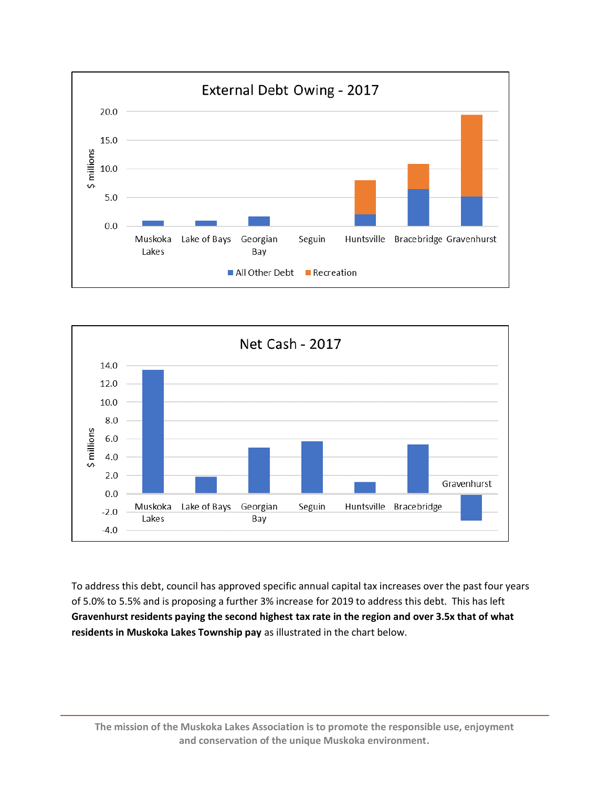



To address this debt, council has approved specific annual capital tax increases over the past four years of 5.0% to 5.5% and is proposing a further 3% increase for 2019 to address this debt. This has left **Gravenhurst residents paying the second highest tax rate in the region and over 3.5x that of what residents in Muskoka Lakes Township pay** as illustrated in the chart below.

**The mission of the Muskoka Lakes Association is to promote the responsible use, enjoyment and conservation of the unique Muskoka environment.**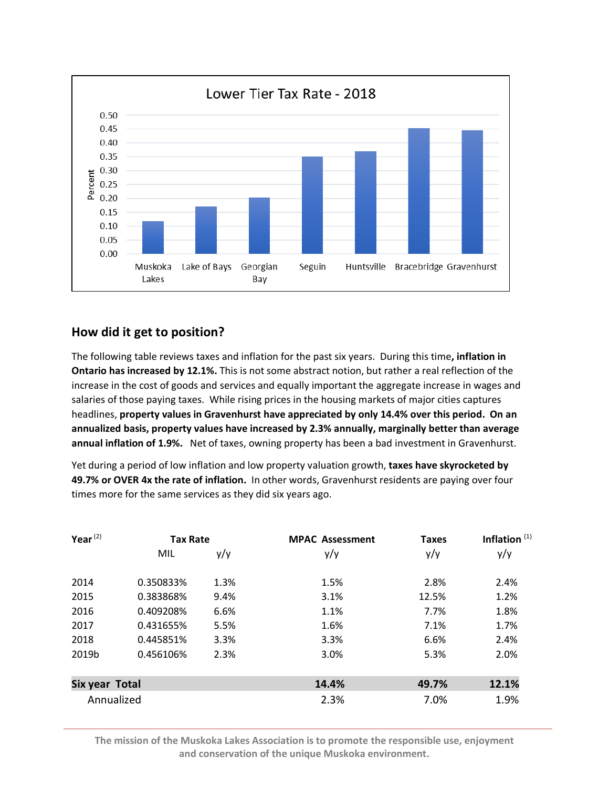

### **How did it get to position?**

The following table reviews taxes and inflation for the past six years. During this time**, inflation in Ontario has increased by 12.1%.** This is not some abstract notion, but rather a real reflection of the increase in the cost of goods and services and equally important the aggregate increase in wages and salaries of those paying taxes. While rising prices in the housing markets of major cities captures headlines, **property values in Gravenhurst have appreciated by only 14.4% over this period. On an annualized basis, property values have increased by 2.3% annually, marginally better than average annual inflation of 1.9%.** Net of taxes, owning property has been a bad investment in Gravenhurst.

Yet during a period of low inflation and low property valuation growth, **taxes have skyrocketed by 49.7% or OVER 4x the rate of inflation.** In other words, Gravenhurst residents are paying over four times more for the same services as they did six years ago.

| Year $(2)$     | <b>Tax Rate</b> |      | <b>MPAC Assessment</b> | <b>Taxes</b> | Inflation $(1)$ |
|----------------|-----------------|------|------------------------|--------------|-----------------|
|                | MIL             | y/y  | y/y                    | y/y          | y/y             |
| 2014           | 0.350833%       | 1.3% | 1.5%                   | 2.8%         | 2.4%            |
| 2015           | 0.383868%       | 9.4% | 3.1%                   | 12.5%        | 1.2%            |
| 2016           | 0.409208%       | 6.6% | 1.1%                   | 7.7%         | 1.8%            |
| 2017           | 0.431655%       | 5.5% | 1.6%                   | 7.1%         | 1.7%            |
| 2018           | 0.445851%       | 3.3% | 3.3%                   | 6.6%         | 2.4%            |
| 2019b          | 0.456106%       | 2.3% | 3.0%                   | 5.3%         | 2.0%            |
| Six year Total |                 |      | 14.4%                  | 49.7%        | 12.1%           |
| Annualized     |                 |      | 2.3%                   | 7.0%         | 1.9%            |

**The mission of the Muskoka Lakes Association is to promote the responsible use, enjoyment and conservation of the unique Muskoka environment.**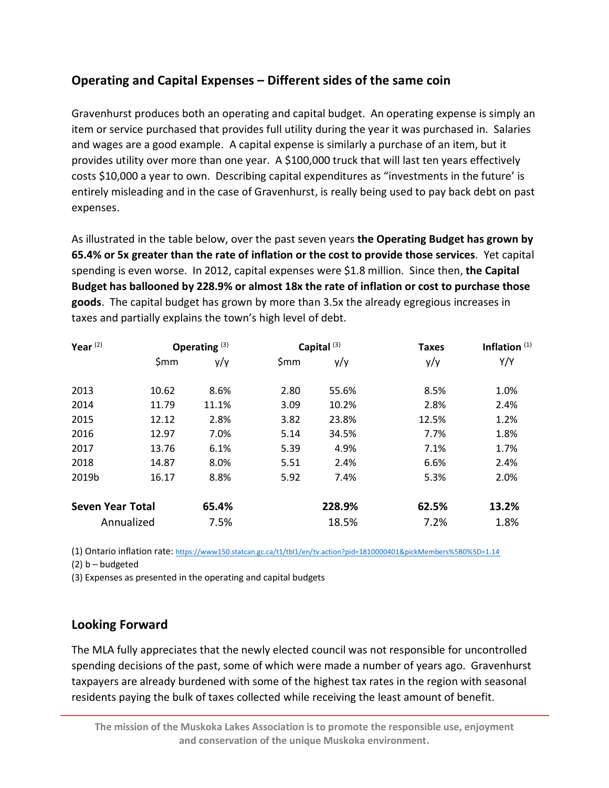# **Operating and Capital Expenses – Different sides of the same coin**

Gravenhurst produces both an operating and capital budget. An operating expense is simply an item or service purchased that provides full utility during the year it was purchased in. Salaries and wages are a good example. A capital expense is similarly a purchase of an item, but it provides utility over more than one year. A \$100,000 truck that will last ten years effectively costs \$10,000 a year to own. Describing capital expenditures as "investments in the future' is entirely misleading and in the case of Gravenhurst, is really being used to pay back debt on past expenses.

As illustrated in the table below, over the past seven years **the Operating Budget has grown by 65.4% or 5x greater than the rate of inflation or the cost to provide those services**. Yet capital spending is even worse. In 2012, capital expenses were \$1.8 million. Since then, **the Capital Budget has ballooned by 228.9% or almost 18x the rate of inflation or cost to purchase those goods**. The capital budget has grown by more than 3.5x the already egregious increases in taxes and partially explains the town's high level of debt.

| Year $(2)$              | Operating $(3)$ |       | Capital <sup>(3)</sup> |        | <b>Taxes</b> | Inflation $(1)$ |
|-------------------------|-----------------|-------|------------------------|--------|--------------|-----------------|
|                         | \$mm            | y/y   | \$mm                   | y/y    | y/y          | Y/Y             |
| 2013                    | 10.62           | 8.6%  | 2.80                   | 55.6%  | 8.5%         | 1.0%            |
| 2014                    | 11.79           | 11.1% | 3.09                   | 10.2%  | 2.8%         | 2.4%            |
| 2015                    | 12.12           | 2.8%  | 3.82                   | 23.8%  | 12.5%        | 1.2%            |
| 2016                    | 12.97           | 7.0%  | 5.14                   | 34.5%  | 7.7%         | 1.8%            |
| 2017                    | 13.76           | 6.1%  | 5.39                   | 4.9%   | 7.1%         | 1.7%            |
| 2018                    | 14.87           | 8.0%  | 5.51                   | 2.4%   | 6.6%         | 2.4%            |
| 2019b                   | 16.17           | 8.8%  | 5.92                   | 7.4%   | 5.3%         | 2.0%            |
| <b>Seven Year Total</b> |                 | 65.4% |                        | 228.9% | 62.5%        | 13.2%           |
| Annualized              |                 | 7.5%  |                        | 18.5%  | 7.2%         | 1.8%            |

(1) Ontario inflation rate: [https://www150.statcan.gc.ca/t1/tbl1/en/tv.action?pid=1810000401&pickMembers%5B0%5D=1.14](https://www150.statcan.gc.ca/t1/tbl1/en/tv.action?pid=1810000401&pickMembers%255B0%255D=1.14)

(2) b – budgeted

(3) Expenses as presented in the operating and capital budgets

## **Looking Forward**

The MLA fully appreciates that the newly elected council was not responsible for uncontrolled spending decisions of the past, some of which were made a number of years ago. Gravenhurst taxpayers are already burdened with some of the highest tax rates in the region with seasonal residents paying the bulk of taxes collected while receiving the least amount of benefit.